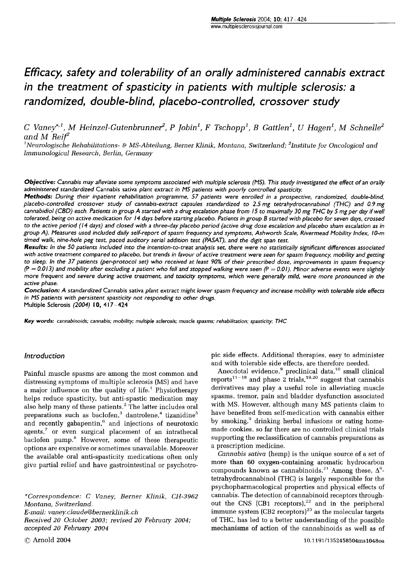# Efficacy, safety and tolerability of an orally administered cannabis extract in the treatment of spasticity in patients with multiple sclerosis: a randomized, double-blind, placebo-controlled, crossover study  $\begin{array}{l} \textit{Multiple Sclerosis 2004; \textbf{10: }417-424} \\\textit{www.multiplesclerosisjournal.com} \end{array}$

 $and M Reif^2$  $\begin{array}{l} \textbf{\textit{m}c} \textbf{\textit{u}c} \textbf{\textit{c}c}} \textbf{\textit{c}c} \textbf{\textit{c}c}} \textbf{\textit{c}c} \textbf{\textit{c}} \textbf{\textit{c}} \textbf{\textit{c}} \textbf{\textit{c}} \textbf{\textit{c}} \textbf{\textit{c}} \textbf{\textit{c}} \textbf{\textit{c}} \textbf{\textit{c}} \textbf{\textit{c}} \textbf{\textit{c}} \textbf{\textit{c}} \textbf{\textit{c}} \textbf{\textit{c}} \textbf{\textit{c}} \textbf{\textit{c}} \textbf$ C Vaney\*,<sup>1</sup>, M Heinzel-Gutenbrunner<sup>2</sup>, P Jobin<sup>1</sup>, F Tschopp<sup>1</sup>, B Gattlen<sup>1</sup>, U Hagen<sup>1</sup>, M Schnelle<sup>2</sup><br>and M Reif<sup>2</sup><br><sup>1</sup>Neurologische Rehabilitations- & MS-Abteilung, Berner Klinik, Montana, Switzerland; <sup>2</sup>Institute

Immunological Research, Berlin, Germany

Objective: Cannabis may alleviate some symptoms associated with multiple sclerosis (MS). This study investigated the effect of an orally administered standardized Cannabis sativa plant extract in MS patients with poorly controlled spasticity.

Methods: During their inpatient rehabilitation programme, 57 patients were enrolled in a prospective, randomized, double-blind, placebo-controlled crossover study of cannabis-extract capsules standardized to 2.5 mg tetrahydrocannabinol (THC) and 0.9 mg cannabidiol (CBD) each. Patients in group A started with a drug escalation phase from 15 to maximally 30 mg THC by 5 mg per day if well tolerated, being on active medication for 14 days before starting placebo. Patients in group B started with placebo for seven days, crossed to the active period (14 days) and closed with a three-day placebo period (active drug dose escalation and placebo sham escalation as in group A). Measures used included daily self-report of spasm frequency and symptoms, Ashworth Scale, Rivermead Mobility Index, 10-m timed walk, nine-hole peg test, paced auditory serial addition test (PASAT), and the digit span test.

Results: In the 50 patients included into the intention-to-treat analysis set, there were no statistically significant differences associated with active treatment compared to placebo, but trends in favour of active treatm tolerated, being on active medication for 14 days before starting piacebo. Patients in group B started with piacebo for seven days, crossed<br>to the active period (14 days) and closed with a three-day placebo period (active active phase.

Conclusion: A standardized Cannabis sativa plant extract might lower spasm frequency and increase mobility with tolerable side effects in MS patients with persistent spasticity not responding to other drugs. Multiple Sclerosis (2004) 10, 417-424

Key words: cannabinoids; cannabis; mobility; multiple sclerosis; muscle spasms; rehabilitation; spasticity; THC

## Introduction

Painful muscle spasms are among the most common and distressing symptoms of multiple sclerosis (MS) and have a major influence on the quality of life.' Physiotherapy helps reduce spasticity, but anti-spastic medication may also help many of these patients.<sup>2</sup> The latter includes oral preparations such as baclofen, $3$  dantrolene, $4$  tizanidine $5$ and recently gabapentin, $6$  and injections of neurotoxic agents, $7$  or even surgical placement of an intrathecal baclofen pump.<sup>8</sup> However, some of these therapeutic options are expensive or sometimes unavailable. Moreover the available oral anti-spasticity medications often only give partial relief and have gastrointestinal or psychotro-

\*Correspondence: C Vaney, Berner Klinik, CH-3962 Montana, Switzerland. E-mail: vaney.claude@bernerklinik.ch Received 20 October 2003; revised 20 February 2004; accepted 20 February 2004

pic side effects. Additional therapies, easy to administer and with tolerable side effects, are therefore needed.

Anecdotal evidence,<sup>9</sup> preclinical data,<sup>10</sup> small clinical reports $11-18$  and phase 2 trials,  $19,20$  suggest that cannabis derivatives may play a useful role in alleviating muscle spasms, tremor, pain and bladder dysfunction associated with MS. However, although many MS patients claim to have benefited from self-medication with cannabis either by smoking,<sup>9</sup> drinking herbal infusions or eating homemade cookies, so far there are no controlled clinical trials supporting the reclassification of cannabis preparations as a prescription medicine.

Cannabis sativa (hemp) is the unique source of a set of more than 60 oxygen-containing aromatic hydrocarbon compounds known as cannabinoids.<sup>21</sup> Among these,  $\Delta^9$ tetrahydrocannabinol (THC) is largely responsible for the psychopharmacological properties and physical effects of cannabis. The detection of cannabinoid receptors through-<br>out the CNS (CB1 receptors),<sup>22</sup> and in the peripheral immune system (CB2 receptors) $^{23}$  as the molecular targets of THC, has led to a better understanding of the possible mechanisms of action of the cannabinoids as well as of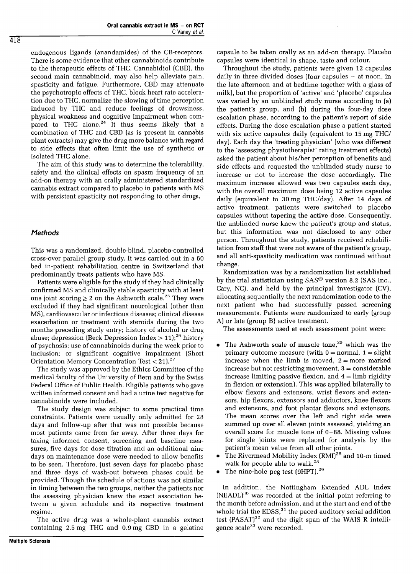endogenous ligands (anandamides) of the CB-receptors. There is some evidence that other cannabinoids contribute to the therapeutic effects of THC. Cannabidiol (CBD), the second main cannabinoid, may also help alleviate pain, spasticity and fatigue. Furthermore, CBD may attenuate the psychotropic effects of THC, block heart rate acceleration due to THC, normalize the slowing of time perception induced by THC and reduce feelings of drowsiness, physical weakness and cognitive impairment when compared to THC alone. $24$  It thus seems likely that a combination of THC and CBD (as is present in cannabis plant extracts) may give the drug more balance with regard to side effects that often limit the use of synthetic or isolated THC alone.

The aim of this study was to determine the tolerability, safety and the clinical effects on spasm frequency of an add-on therapy with an orally administered standardized cannabis extract compared to placebo in patients with MS with persistent spasticity not responding to other drugs.

# Methods

This was a randomized, double-blind, placebo-controlled cross-over parallel group study. It was carried out in a 60 bed in-patient rehabilitation centre in Switzerland that predominantly treats patients who have MS.

Patients were eligible for the study if they had clinically confirmed MS and clinically stable spasticity with at least one joint scoring  $\geq 2$  on the Ashworth scale.<sup>25</sup> They were excluded if they had significant neurological (other than MS), cardiovascular or infectious diseases; clinical disease exacerbation or treatment with steroids during the two months preceding study entry; history of alcohol or drug abuse; depression (Beck Depression Index  $> 11$ );<sup>26</sup> history of psychosis; use of cannabinoids during the week prior to inclusion; or significant cognitive impairment (Short Orientation Memory Concentration Test < 21).27

The study was approved by the Ethics Committee of the medical faculty of the University of Bern and by the Swiss Federal Office of Public Health. Eligible patients who gave written informed consent and had a urine test negative for cannabinoids were included.

The study design was subject to some practical time constraints. Patients were usually only admitted for 28 days and follow-up after that was not possible because most patients came from far away. After three days for taking informed consent, screening and baseline measures, five days for dose titration and an additional nine days on maintenance dose were needed to allow benefits to be seen. Therefore, just seven days for placebo phase and three days of wash-out between phases could be provided. Though the schedule of actions was not similar in timing between the two groups, neither the patients nor the assessing physician knew the exact association between a given schedule and its respective treatment regime.

The active drug was a whole-plant cannabis extract containing 2.5 mg THC and 0.9 mg CBD in a gelatine

capsule to be taken orally as an add-on therapy. Placebo capsules were identical in shape, taste and colour.

Throughout the study, patients were given 12 capsules daily in three divided doses (four capsules  $-$  at noon, in the late afternoon and at bedtime together with a glass of milk), but the proportion of 'active' and 'placebo' capsules was varied by an unblinded study nurse according to (a) the patient's group, and (b) during the four-day dose escalation phase, according to the patient's report of side effects. During the dose escalation phase a patient started with six active capsules daily (equivalent to 15 mg THC/ day). Each day the 'treating physician' (who was different to the 'assessing physiotherapist' rating treatment effects) asked the patient about his/her perception of benefits and side effects and requested the unblinded study nurse to increase or not to increase the dose accordingly. The maximum increase allowed was two capsules each day, with the overall maximum dose being 12 active capsules daily (equivalent to 30 mg THC/day). After 14 days of active treatment, patients were switched to placebo capsules without tapering the active dose. Consequently, the unblinded nurse knew the patient's group and status, but this information was not disclosed to any other person. Throughout the study, patients received rehabilitation from staff that were not aware of the patient's group, and all anti-spasticity medication was continued without change.

Randomization was by a randomization list established by the trial statistician using SAS@ version 8.2 (SAS Inc., Cary, NC), and held by the principal investigator (CV), allocating sequentially the next randomization code to the next patient who had successfully passed screening measurements. Patients were randomized to early (group A) or late (group B) active treatment.

The assessments used at each assessment point were:

- The Ashworth scale of muscle tone,<sup>25</sup> which was the primary outcome measure (with  $0 = normal$ ,  $1 = slight$ increase when the limb is moved,  $2 = more$  marked increase but not restricting movement, 3 = considerable increase limiting passive flexion, and  $4 =$  limb rigidity in flexion or extension). This was applied bilaterally to elbow flexors and extensors, wrist flexors and extensors, hip flexors, extensors and adductors, knee flexors and extensors, and foot plantar flexors and extensors. The mean scores over the left and right side were summed up over all eleven joints assessed, yielding an overall score for muscle tone of 0-88. Missing values for single joints were replaced for analysis by the patient's mean value from all other joints.
- The Rivermead Mobility Index  $(RMI)^{28}$  and 10-m timed walk for people able to walk.<sup>28</sup>
- The nine-hole peg test (9HPT).<sup>29</sup>

In addition, the Nottingham Extended ADL Index (NEADL)3° was recorded at the initial point referring to the month before admission, and at the start and end of the whole trial the  $EDSS$ ,<sup>31</sup> the paced auditory serial addition test (PASAT) $^{32}$  and the digit span of the WAIS R intelligence scale<sup>33</sup> were recorded.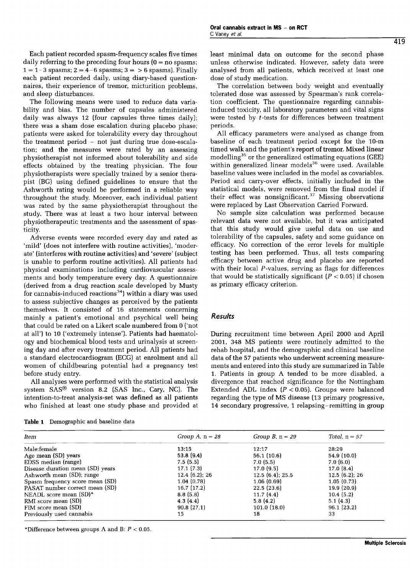Each patient recorded spasm-frequency scales five times daily referring to the preceding four hours  $(0 = no$  spasms;  $1 = 1-3$  spasms;  $2 = 4-6$  spasms;  $3 = 5$  spasms). Finally each patient recorded daily, using diary-based questionnaires, their experience of tremor, micturition problems, and sleep disturbances.

The following means were used to reduce data variability and bias. The number of capsules administered daily was always 12 (four capsules three times daily); there was a sham dose escalation during placebo phase; patients were asked for tolerability every day throughout the treatment period - not just during true dose-escalation; and the measures were rated by an assessing physiotherapist not informed about tolerability and side effects obtained by the treating physician. The four physiotherapists were specially trained by a senior therapist (BG) using defined guidelines to ensure that the Ashworth rating would be performed in a reliable way throughout the study. Moreover, each individual patient was rated by the same physiotherapist throughout the study. There was at least a two hour interval between physiotherapeutic treatments and the assessment of spasticity.

Adverse events were recorded every day and rated as 'mild' (does not interfere with routine activities), 'moderate' (interferes with routine activities) and 'severe' (subject is unable to perform routine activities). All patients had physical examinations including cardiovascular assessments and body temperature every day. A questionnaire (derived from a drug reaction scale developed by Musty for cannabis-induced reactions<sup>34</sup>) within a diary was used to assess subjective changes as perceived by the patients themselves. It consisted of 16 statements concerning mainly a patient's emotional and psychical well being that could be rated on a Likert scale numbered from 0 ('not at all') to 10 ('extremely intense'). Patients had haematology and biochemical blood tests and urinalysis at screening day and after every treatment period. All patients had a standard electrocardiogram (ECG) at enrolment and all women of childbearing potential had a pregnancy test before study entry.

All analyses were performed with the statistical analysis system SAS® version 8.2 (SAS Inc., Cary, NC). The intention-to-treat analysis-set was defined as all patients who finished at least one study phase and provided at

| Table 1 Demographic and baseline data |  |  |  |
|---------------------------------------|--|--|--|
|---------------------------------------|--|--|--|

least minimal data on outcome for the second phase unless otherwise indicated. However, safety data were analysed from all patients, which received at least one dose of study medication.

The correlation between body weight and eventually tolerated dose was assessed by Spearman's rank correlation coefficient. The questionnaire regarding cannabisinduced toxicity, all laboratory parameters and vital signs were tested by t-tests for differences between treatment periods.

All efficacy parameters were analysed as change from baseline of each treatment period except for the 10-m timed walk and the patient's report of tremor. Mixed linear modelling35 or the generalized estimating equations (GEE) within generalized linear models<sup>36</sup> were used. Available baseline values were included in the model as covariables. Period and carry-over effects, initially included in the statistical models, were removed from the final model if their effect was nonsignificant. $37$  Missing observations were replaced by Last Observation Carried Forward.

No sample size calculation was performed because relevant data were not available, but it was anticipated that this study would give useful data on use and tolerability of the capsules, safety and some guidance on efficacy. No correction of the error levels for multiple testing has been performed. Thus, all tests comparing efficacy between active drug and placebo are reported with their local P-values, serving as flags for differences that would be statistically significant  $(P < 0.05)$  if chosen as primary efficacy criterion.

### Results

During recruitment time between April 2000 and April 2001, 348 MS patients were routinely admitted to the rehab hospital, and the demographic and clinical baseline data of the 57 patients who underwent screening measurements and entered into this study are summarized in Table 1. Patients in group A tended to be more disabled, a divergence that reached significance for the Nottingham Extended ADL index  $(P < 0.05)$ . Groups were balanced regarding the type of MS disease (13 primary progressive, 14 secondary progressive, 1 relapsing-remitting in group

| ltem                             | Group A, $n = 28$ | Group B, $n = 29$ | Total, $n = 57$ |
|----------------------------------|-------------------|-------------------|-----------------|
| Male:female                      | 13:15             | 12:17             | 28:29           |
| Age mean (SD) years              | 53.8(9.4)         | 56.1(10.6)        | 54.9(10.0)      |
| EDSS median (range)              | 7.5(5.5)          | 7.0(5.5)          | 7.0(6.0)        |
| Disease duration mean (SD) years | 17.1(7.3)         | 17.0(9.5)         | 17.0(8.4)       |
| Ashworth mean (SD); range        | 12.4(6.2):26      | 12.5(6.4); 25.5   | 12.5(6.2); 26   |
| Spasm frequency score mean (SD)  | 1.04(0.78)        | 1.06(0.69)        | 1.05(0.73)      |
| PASAT number correct mean (SD)   | 16.7(17.2)        | 22.5(23.6)        | 19.9(20.9)      |
| NEADL score mean $(SD)^*$        | 8.8(5.8)          | 11.7(4.4)         | 10.4(5.2)       |
| RMI score mean (SD)              | 4.3(4.4)          | 5.8(4.2)          | 5.1(4.3)        |
| FIM score mean (SD)              | 90.8(27.1)        | 101.0(18.0)       | 96.1(23.2)      |
| Previously used cannabis         | 15                | 18                | 33              |

\*Difference between groups A and B:  $P < 0.05$ .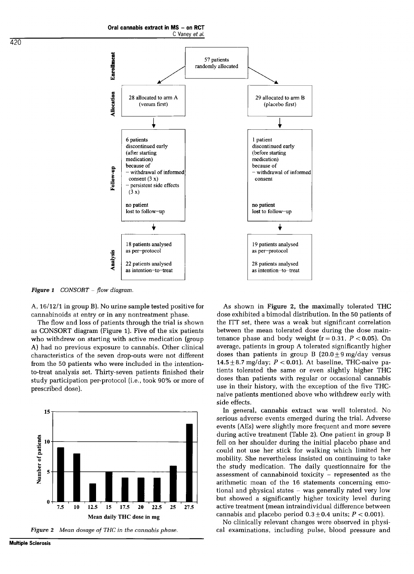

**Figure 1** CONSORT - flow diagram.

A, 16/12/1 in group B). No urine sample tested positive for cannabinoids at entry or in any nontreatment phase.

The flow and loss of patients through the trial is shown as CONSORT diagram (Figure 1). Five of the six patients who withdrew on starting with active medication (group A) had no previous exposure to cannabis. Other clinical characteristics of the seven drop-outs were not different from the 50 patients who were included in the intentionto-treat analysis set. Thirty-seven patients finished their study participation per-protocol (i.e., took 90% or more of prescribed dose).





As shown in Figure 2, the maximally tolerated THC dose exhibited a bimodal distribution. In the 50 patients of the ITT set, there was a weak but significant correlation between the mean tolerated dose during the dose maintenance phase and body weight  $(r = 0.31, P < 0.05)$ . On average, patients in group A tolerated significantly higher doses than patients in group B  $(20.0 + 9 \text{ mg/day}$  versus 14.5  $\pm$  8.7 mg/day;  $P < 0.01$ ). At baseline, THC-naive patients tolerated the same or even slightly higher THC doses than patients with regular or occasional cannabis use in their history, with the exception of the five THCnaive patients mentioned above who withdrew early with side effects.

In general, cannabis extract was well tolerated. No serious adverse events emerged during the trial. Adverse events (AEs) were slightly more frequent and more severe during active treatment (Table 2). One patient in group B fell on her shoulder during the initial placebo phase and could not use her stick for walking which limited her mobility. She nevertheless insisted on continuing to take the study medication. The daily questionnaire for the assessment of cannabinoid toxicity - represented as the arithmetic mean of the 16 statements concerning emotional and physical states - was generally rated very low but showed a significantly higher toxicity level during active treatment (mean intraindividual difference between cannabis and placebo period  $0.3 \pm 0.4$  units;  $P < 0.001$ ).

No clinically relevant changes were observed in physical examinations, including pulse, blood pressure and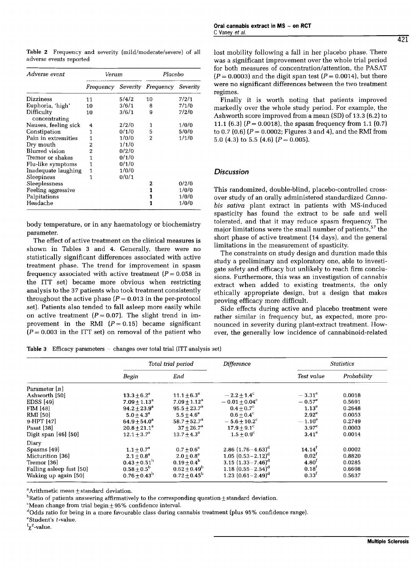Table 2 Frequency and severity (mild/moderate/severe) of all adverse events reported

| Adverse event               | Verum     |          | Placebo   |          |  |
|-----------------------------|-----------|----------|-----------|----------|--|
|                             | Frequency | Severity | Frequency | Severity |  |
| Dizziness                   | 11        | 5/4/2    | 10        | 7/2/1    |  |
| Euphoria, 'high'            | 10        | 3/6/1    | 8         | 7/1/0    |  |
| Difficulty<br>concentrating | 10        | 3/6/1    | 9         | 7/2/0    |  |
| Nausea, feeling sick        | 4         | 2/2/0    | 1         | 1/0/0    |  |
| Constipation                | 1         | 0/1/0    | 5         | 5/0/0    |  |
| Pain in extremities         | 1         | 1/0/0    | 2         | 1/1/0    |  |
| Dry mouth                   | 2         | 1/1/0    |           |          |  |
| <b>Blurred</b> vision       | 2         | 0/2/0    |           |          |  |
| Tremor or shakes            | 1         | 0/1/0    |           |          |  |
| Flu-like symptoms           | 1         | 0/1/0    |           |          |  |
| Inadequate laughing         | 1         | 1/0/0    |           |          |  |
| Sleepiness                  | 1         | 0/0/1    |           |          |  |
| Sleeplessness               |           |          | 2         | 0/2/0    |  |
| Feeling aggressive          |           |          | 1         | 1/0/0    |  |
| Palpitations                |           |          | 1         | 1/0/0    |  |
| Headache                    |           |          | 1         | 1/0/0    |  |

body temperature, or in any haematology or biochemistry parameter.

The effect of active treatment on the clinical measures is shown in Tables 3 and 4. Generally, there were no statistically significant differences associated with active treatment phase. The trend for improvement in spasm frequency associated with active treatment  $(P = 0.058$  in the ITT set) became more obvious when restricting analysis to the 37 patients who took treatment consistently throughout the active phase  $(P = 0.013$  in the per-protocol set). Patients also tended to fall asleep more easily while on active treatment ( $P = 0.07$ ). The slight trend in improvement in the RMI  $(P = 0.15)$  became significant  $(P = 0.003$  in the ITT set) on removal of the patient who

Table 3 Efficacy parameters - changes over total trial (ITT analysis set)

|                          | Total trial period      |                         | Difference                | <b>Statistics</b> |             |
|--------------------------|-------------------------|-------------------------|---------------------------|-------------------|-------------|
|                          | Begin                   | End                     |                           | Test value        | Probability |
| Parameter $[n]$          |                         |                         |                           |                   |             |
| Ashworth [50]            | $13.3 + 6.2^{\circ}$    | $11.1 + 6.3^a$          | $-2.2 + 1.4^{\circ}$      | $-3.31^{\circ}$   | 0.0018      |
| EDSS [49]                | $7.09 \pm 1.13^a$       | $7.09 \pm 1.12^a$       | $-0.01 + 0.04^{\circ}$    | $-0.57^{\circ}$   | 0.5691      |
| <b>FIM [48]</b>          | $94.2 + 23.9^a$         | $95.5 + 23.7^a$         | $0.4 + 0.7^{\circ}$       | 1.13 <sup>e</sup> | 0.2648      |
| <b>RMI</b> [50]          | $5.0 + 4.3^a$           | $5.5 + 4.6^a$           | $0.6 + 0.4^{\circ}$       | $2.92^e$          | 0.0053      |
| 9-HPT [47]               | $64.9 + 54.0^a$         | $58.7 + 52.7^a$         | $-5.6 + 10.2^{\circ}$     | $-1.10^{\circ}$   | 0.2749      |
| Pasat [38]               | $20.8 + 21.1^a$         | $37 \pm 26.7^{\rm a}$   | $17.9 + 9.1$ <sup>c</sup> | 3.97 <sup>e</sup> | 0.0003      |
| Digit span $[46]$ [50]   | $12.1 + 3.7^{\rm a}$    | $13.7 \pm 4.3^{\rm a}$  | $1.5 + 0.9^{\circ}$       | $3.41^e$          | 0.0014      |
| Diary                    |                         |                         |                           |                   |             |
| Spasms [49]              | $1.1 \pm 0.7^{\rm a}$   | $0.7 + 0.6^a$           | 2.86 $(1.76 - 4.63)^d$    | $14.14^t$         | 0.0002      |
| Micturition [36]         | $2.1 + 0.8^a$           | $2.0 \pm 0.8^a$         | $1.05$ $(0.53-2.12)^d$    | $0.02^t$          | 0.8820      |
| Tremor [36]              | $0.43 \pm 0.51^{\rm h}$ | $0.19 + 0.4^b$          | $3.15(1.33 - 7.46)^d$     | $4.80^{1}$        | 0.0285      |
| Falling asleep fast [50] | $0.58 \pm 0.5^{\rm b}$  | $0.62 \pm 0.49^{\rm b}$ | 1.18 $(0.55 - 2.54)^d$    | $0.18^{t}$        | 0.6698      |
| Waking up again [50]     | $0.76 + 0.43^b$         | $0.72 + 0.45^b$         | 1.23 $(0.61 - 2.49)^d$    | $0.33^{t}$        | 0.5637      |

<sup>a</sup>Arithmetic mean + standard deviation.

 ${}^{\text{b}}$ Ratio of patients answering affirmatively to the corresponding question  $\pm$  standard deviation.

"Mean change from trial begin $±95%$  confidence interval.

dOdds ratio for being in a more favourable class during cannabis treatment (plus 95% confidence range).

'Student's t-value.

 $f_{\chi^2}$ -value.

lost mobility following a fall in her placebo phase. There was a significant improvement over the whole trial period for both measures of concentration/attention, the PASAT  $(P = 0.0003)$  and the digit span test  $(P = 0.0014)$ , but there were no significant differences between the two treatment regimes.

Finally it is worth noting that patients improved markedly over the whole study period. For example, the Ashworth score improved from a mean (SD) of 13.3 (6.2) to 11.1 (6.3) ( $P = 0.0018$ ), the spasm frequency from 1.1 (0.7) to 0.7 (0.6)  $(P = 0.0002;$  Figures 3 and 4), and the RMI from 5.0 (4.3) to 5.5 (4.6)  $(P = 0.005)$ .

# **Discussion**

This randomized, double-blind, placebo-controlled crossover study of an orally administered standardized Cannabis sativa plant extract in patients with MS-induced spasticity has found the extract to be safe and well tolerated, and that it may reduce spasm frequency. The major limitations were the small number of patients, 57 the short phase of active treatment (14 days), and the general limitations in the measurement of spasticity.

The constraints on study design and duration made this study a preliminary and exploratory one, able to investigate safety and efficacy but unlikely to reach firm conclusions. Furthermore, this was an investigation of cannabis extract when added to existing treatments, the only ethically appropriate design, but a design that makes proving efficacy more difficult.

Side effects during active and placebo treatment were rather similar in frequency but, as expected, more pronounced in severity during plant-extract treatment. However, the generally low incidence of cannabinoid-related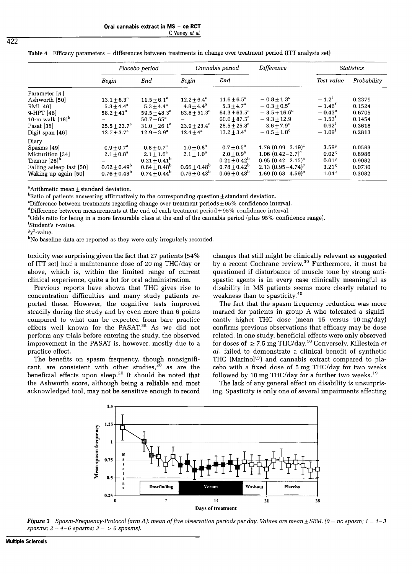|                                                                                                                                   | Placebo period                                                                                              |                                                                                                                    | Cannabis period                                                                                     |                                                                                                                                        | <b>Difference</b>                                                                                                                        | <b>Statistics</b>                                                                                                          |                                                          |
|-----------------------------------------------------------------------------------------------------------------------------------|-------------------------------------------------------------------------------------------------------------|--------------------------------------------------------------------------------------------------------------------|-----------------------------------------------------------------------------------------------------|----------------------------------------------------------------------------------------------------------------------------------------|------------------------------------------------------------------------------------------------------------------------------------------|----------------------------------------------------------------------------------------------------------------------------|----------------------------------------------------------|
|                                                                                                                                   | Begin                                                                                                       | End                                                                                                                | Begin                                                                                               | End                                                                                                                                    |                                                                                                                                          | Test value                                                                                                                 | Probability                                              |
| Parameter [ <i>n</i> ]<br>Ashworth [50]<br>RMI [46]<br>9-HPT [46]<br>10-m walk [18] <sup>h</sup><br>Pasat [38]<br>Digit span [46] | $13.1 \pm 6.3^{\circ}$<br>$5.3 \pm 4.4^a$<br>$58.2 \pm 41^a$<br>$25.5 \pm 23.7^a$<br>$12.7 \pm 3.7^{\rm a}$ | $11.5 \pm 6.1^a$<br>$5.3 + 4.4^a$<br>$59.5 + 48.3^a$<br>$50.7 + 65^{\circ}$<br>$31.0 \pm 26.1^a$<br>$12.9 + 3.9^a$ | $12.2 + 6.4^{\circ}$<br>$4.8 + 4.4^{\circ}$<br>$63.8 \pm 51.3^a$<br>$23.9 + 23.4^a$<br>$12.4 + 4^a$ | $11.6 \pm 6.5^{\circ}$<br>$5.3 + 4.7^a$<br>$64.3 \pm 63.5^a$<br>$60.0 \pm 87.5^{\rm a}$<br>$28.5 \pm 25.8^a$<br>$13.2 \pm 3.4^{\circ}$ | $-0.8 + 1.3$ <sup>c</sup><br>$-0.3 + 0.5^{\circ}$<br>$-3.5+16.6^{\circ}$<br>$-9.3 + 12.9$<br>$3.6 + 7.9^{\circ}$<br>$-0.5 + 1.0^{\circ}$ | $-1.2^{f}$<br>$-1.46$ <sup>t</sup><br>$-0.43^{\circ}$<br>$-1.53$ <sup>t</sup><br>$0.92^{\text{t}}$<br>$-1.09$ <sup>t</sup> | 0.2379<br>0.1524<br>0.6705<br>0.1454<br>0.3618<br>0.2813 |
| Diarv<br>Spasms [49]<br>Micturition [34]<br>Tremor [26] <sup>h</sup><br>Falling asleep fast [50]<br>Waking up again [50]          | $0.9 + 0.7^a$<br>$2.1 + 0.8^a$<br>$0.62\pm0.49^{\mathrm{b}}$<br>$0.76 \pm 0.43^{\rm b}$                     | $0.8 + 0.7^{\rm a}$<br>$2.1 \pm 1.0^a$<br>$0.21 \pm 0.41^{\rm b}$<br>$0.64 \pm 0.48^b$<br>$0.74 \pm 0.44^{\rm b}$  | $1.0 + 0.8^a$<br>$2.1 \pm 1.0^a$<br>$0.66\pm0.48^{\mathrm{b}}$<br>$0.76 + 0.43^{\rm b}$             | $0.7 + 0.5^a$<br>$2.0 + 0.9^a$<br>$0.21 \pm 0.42^{\rm b}$<br>$0.78 \pm 0.42^b$<br>$0.66 + 0.48^{\circ}$                                | $1.78~(0.99 - 3.19)^c$<br>1.06 $(0.42 - 2.7)^{c}$<br>$0.95(0.42-2.15)^e$<br>2.13 $(0.95 - 4.74)^e$<br>$1.69(0.63 - 4.59)^e$              | $3.59^{8}$<br>0.02 <sup>8</sup><br>$0.01^{8}$<br>3.21 <sup>8</sup><br>$1.04^{8}$                                           | 0.0583<br>0.8986<br>0.9082<br>0.0730<br>0.3082           |

Table 4 Efficacy parameters - differences between treatments in change over treatment period (ITT analysis set)

 $a$ Arithmetic mean  $\pm$  standard deviation.

 $<sup>b</sup>Ratio of patients answering affirmatively to the corresponding question  $\pm$  standard deviation.$ </sup>

 $c$ Difference between treatments regarding change over treatment periods  $\pm$  95% confidence interval.

 $d$ Difference between measurements at the end of each treatment period +95% confidence interval.

'Odds ratio for being in a more favourable class at the end of the cannabis period (plus 95% confidence range).

 $f$ Student's  $t$ -value.

 $\frac{g}{\gamma^2}$ -value.

hNo baseline data are reported as they were only irregularly recorded.

toxicity was surprising given the fact that 27 patients (54% of ITT set) had a maintenance dose of 20 mg THC/day or above, which is, within the limited range of current clinical experience, quite a lot for oral administration.

Previous reports have shown that THC gives rise to concentration difficulties and many study patients reported these. However, the cognitive tests improved steadily during the study and by even more than 6 points compared to what can be expected from bare practice effects well known for the PASAT.<sup>38</sup> As we did not perform any trials before entering the study, the observed improvement in the PASAT is, however, mostly due to a practice effect.

The benefits on spasm frequency, though nonsignificant, are consistent with other studies, $^{20}$  as are the beneficial effects upon sleep.<sup>20</sup> It should be noted that the Ashworth score, although being a reliable and most acknowledged tool, may not be sensitive enough to record changes that still might be clinically relevant as suggested by a recent Cochrane review.<sup>39</sup> Furthermore, it must be questioned if disturbance of muscle tone by strong antispastic agents is in every case clinically meaningful as disability in MS patients seems more clearly related to weakness than to spasticity.4o

The fact that the spasm frequency reduction was more marked for patients in group A who tolerated a significantly higher THC dose (mean 15 versus 10 mg/day) confirms previous observations that efficacy may be dose related. In one study, beneficial effects were only observed for doses of  $\geq$  7.5 mg THC/day.<sup>18</sup> Conversely, Killestein et al. failed to demonstrate a clinical benefit of synthetic THC (Marinol®) and cannabis extract compared to placebo with a fixed dose of 5 mg THC/day for two weeks followed by 10 mg THC/day for a further two weeks.<sup>19</sup>

The lack of any general effect on disability is unsurprising. Spasticity is only one of several impairments affecting



**Figure 3** Spasm-Frequency-Protocol (arm A): mean of five observation periods per day. Values are mean  $\pm$  SEM. (0 = no spasm; 1 = 1-3 spasms;  $2 = 4-6$  spasms;  $3 = 6$  spasms).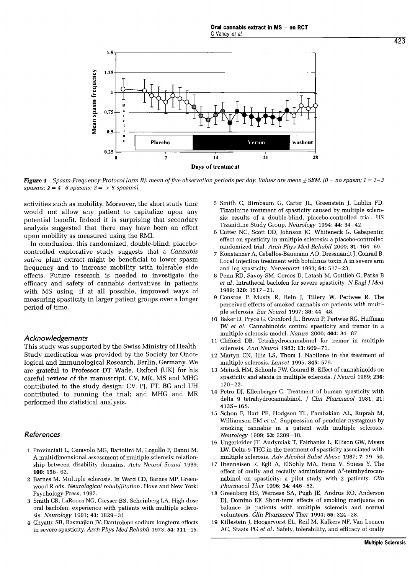

**Figure 4** Spasm-Frequency-Protocol (arm B): mean of five observation periods per day. Values are mean  $\pm$  SEM. (0 = no spasm; 1 = 1-3 spasms;  $2 = 4-6$  spasms;  $3 = 6$  spasms).

activities such as mobility. Moreover, the short study time would not allow any patient to capitalize upon any potential benefit. Indeed it is surprising that secondary analysis suggested that there may have been an effect upon mobility as measured using the RMI.

In conclusion, this randomized, double-blind, placebocontrolled explorative study suggests that a Cannabis sativa plant extract might be beneficial to lower spasm frequency and to increase mobility with tolerable side effects. Future research is needed to investigate the efficacy and safety of cannabis derivatives in patients with MS using, if at all possible, improved ways of measuring spasticity in larger patient groups over a longer period of time.

### **Acknowledgements**

This study was supported by the Swiss Ministry of Health. Study medication was provided by the Society for Oncological and Immunological Research, Berlin, Germany. We are grateful to Professor DT Wade, Oxford (UK) for his careful review of the manuscript. CV, MR, MS and MHG contributed to the study design; CV, PJ, FT, BG and UH contributed to running the trial; and MHG and MR performed the statistical analysis.

### References

- 1 Provinciali L, Ceravolo MG, Bartolini M, Logullo F, Danni M. A multidimensional assessment of multiple sclerosis: relationship between disability domains. Acta Neurol Scand 1999; 100: 156-62.
- 2 Barnes M. Multiple sclerosis. In Ward CD, Barnes MP, Greenwood R eds. Neurological rehabilitation. Hove and New York: Psychology Press, 1997.
- 3 Smith CR, LaRocca NG, Giesser BS, Scheinberg LA. High dose oral baclofen: experience with patients with multiple sclerosis. Neurology 1991; 41: 1829-31.
- 4 Chyatte SB, Basmajian JV. Dantrolene sodium longterm effects in severe spasticity. Arch Phys Med Rehabil 1973; 54: 311-15.
- 5 Smith C, Birnbaum G, Carter JL, Greenstein J, Lublin FD. Tizanidine treatment of spasticity caused by multiple sclerosis: results of a double-blind, placebo-controlled trial. US Tizanidine Study Group. Neurology 1994; 44: 34-42.
- 6 Cutter NC, Scott DD, Johnson JC, Whiteneck G. Gabapentin effect on spasticity in multiple sclerosis: a placebo-controlled randomized trial. Arch Phys Med Rehabil 2000; 81: 164-69.
- 7 Konstanzer A, Ceballos-Baumann AO, Dressnandt J, Conrad B. Local injection treatment with botulinus toxin A in severe arm and leg spasticity. Nervenarzt 1993; 64: 517-23.
- 8 Penn RD, Savoy SM, Corcos D, Latash M, Gottlieb G, Parke B et al. Intrathecal baclofen for severe spasticity. N Engl J Med 1989; 320: 1517-21.
- 9 Consroe P, Musty R, Rein J, Tillery W, Pertwee R. The perceived effects of smoked cannabis on patients with multiple sclerosis. Eur Neurol 1997; 38: 44-48.
- 10 Baker D, Pryce G, Croxford JL, Brown P, Pertwee RG, Huffman JW et al. Cannabinoids control spasticity and tremor in a multiple sclerosis model. Nature 2000; 404: 84-87.
- 11 Clifford DB. Tetrahydrocannabinol for tremor in multiple sclerosis. Ann Neurol 1983; 13: 669-71.
- 12 Martyn CN, Illis LS, Thom J. Nabilone in the treatment of multiple sclerosis. Lancet 1995; 345: 579.
- 13 Meinck HM, Schonle PW, Conrad B. Effect of cannabinoids on spasticity and ataxia in multiple sclerosis. J Neurol 1989; 236: 120-22.
- 14 Petro DJ, Ellenberger C. Treatment of human spasticity with delta 9 tetrahydrocannabinol. J Clin Pharmacol 1981; 21: 413S-16S.
- 15 Schon F, Hart PE, Hodgson TL, Pambakian AL, Ruprah M, Williamson EM et al. Suppression of pendular nystagmus by smoking cannabis in a patient with multiple sclerosis. Neurology 1999; 53: 2209-10.
- 16 Ungerleider JT, Andyrsiak T, Fairbanks L, Ellison GW, Myers LW. Delta-9-THC in the treatment of spasticity associated with multiple sclerosis. Adv Alcohol Subst Abuse 1987; 7: 39-50.
- 17 Brenneisen R, Egli A, ElSohly MA, Henn V, Spiess Y. The effect of orally and rectally administrated  $\Delta^9$ -tetrahydrocaneffection F, Fiant PE, Hougson TL, Pamoakian AL, Kupran M,<br>Williamson EM *et al.* Suppression of pendular nystagmus by<br>smoking cannabis in a patient with multiple sclerosis.<br>*Neurology* 1999; 53: 2209–10.<br>Ungerleider JT, nabinol on spasticity: a pilot study with 2 patients. Clin Pharmacol Ther 1996; 34: 446-52.
- 18 Greenberg HS, Werness SA, Pugh JE, Andrus RO, Anderson DJ, Domino EF. Short-term effects of smoking marijuana on balance in patients with multiple sclerosis and normal volunteers. Clin Pharmacol Ther 1994; 55: 324-28.
- 19 Killestein J, Hoogervorst EL, Reif M, Kalkers NF, Van Loenen AC, Staats PG et al. Safety, tolerability, and efficacy of orally